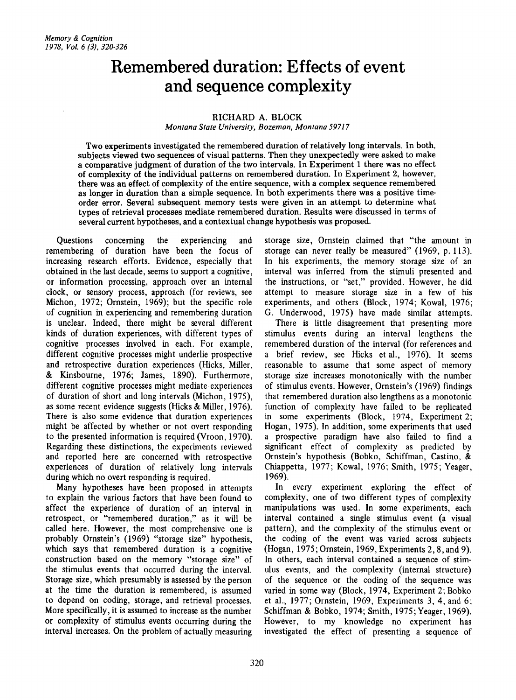# **Remembered duration: Effects of event and sequence complexity**

## RICHARD A. BLOCK

*Montana State University, Bozeman, Montana 59717*

Two experiments investigated the remembered duration of relatively long intervals. In both, subjects viewed two sequences of visual patterns. Then they unexpectedly were asked to make a comparative judgment of duration of the two intervals. In Experiment 1 there was no effect of complexity of the individual patterns on remembered duration. In Experiment 2, however, there was an effect of complexity of the entire sequence, with a complex sequence remembered as longer in duration than a simple sequence. In both experiments there was a positive timeorder error. Several subsequent memory tests were given in an attempt to determine what types of retrieval processes mediate remembered duration. Results were discussed in terms of several current hypotheses, and a contextual change hypothesis was proposed.

Questions concerning the experiencing and remembering of duration have been the focus of increasing research efforts. Evidence, especially that obtained in the last decade, seems to support a cognitive, or information processing, approach over an internal clock, or sensory process, approach (for reviews, see Michon, 1972; Ornstein, 1969); but the specific role of cognition in experiencing and remembering duration is unclear. Indeed, there might be several different kinds of duration experiences, with different types of cognitive processes involved in each. For example, different cognitive processes might underlie prospective and retrospective duration experiences (Hicks, Miller, & Kinsbourne, 1976; James, 1890). Furthermore, different cognitive processes might mediate experiences of duration of short and long intervals (Michon, 1975), as some recent evidence suggests (Hicks & Miller, 1976). There is also some evidence that duration experiences might be affected by whether or not overt responding to the presented information is required (Vroon, 1970). Regarding these distinctions, the experiments reviewed and reported here are concerned with retrospective experiences of duration of relatively long intervals during which no overt responding is required.

Many hypotheses have been proposed in attempts to explain the various factors that have been found to affect the experience of duration of an interval in retrospect, or "remembered duration," as it will be called here. However, the most comprehensive one is probably Ornstein's (1969) "storage size" hypothesis, which says that remembered duration is a cognitive construction based on the memory "storage size" of the stimulus events that occurred during the interval. Storage size, which presumably is assessed by the person at the time the duration is remembered, is assumed to depend on coding, storage, and retrieval processes. More specifically, it is assumed to increase as the number or complexity of stimulus events occurring during the interval increases. On the problem of actually measuring storage size, Ornstein claimed that "the amount in storage can never really be measured" (1969, p. 113). In his experiments, the memory storage size of an interval was inferred from the stimuli presented and the instructions, or "set," provided. However, he did attempt to measure storage size in a few of his experiments, and others (Block, 1974; Kowal, 1976; G. Underwood, 1975) have made similar attempts.

There is little disagreement that presenting more stimulus events during an interval lengthens the remembered duration of the interval (for references and a brief review, see Hicks et al., 1976). It seems reasonable to assume that some aspect of memory storage size increases monotonically with the number of stimulus events. However, Ornstein's (1969) findings that remembered duration also lengthens as a monotonic function of complexity have failed to be replicated in some experiments (Block, 1974, Experiment 2; Hogan, 1975). In addition, some experiments that used a prospective paradigm have also failed to find a significant effect of complexity as predicted by Ornstein's hypothesis (Bobko, Schiffman, Castino, & Chiappetta, 1977; Kowal, 1976; Smith, 1975; Yeager, 1969).

In every experiment exploring the effect of complexity, one of two different types of complexity manipulations was used. In some experiments, each interval contained a single stimulus event (a visual pattern), and the complexity of the stimulus event or the coding of the event was varied across subjects (Hogan, 1975; Ornstein, 1969, Experiments 2,8, and 9). In others, each interval contained a sequence of stimulus events, and the complexity (internal structure) of the sequence or the coding of the sequence was varied in some way (Block, 1974, Experiment 2; Bobko et al., 1977; Ornstein, 1969, Experiments 3,4, and 6; Schiffman & Bobko, 1974; Smith, 1975; Yeager, 1969). However, to my knowledge no experiment has investigated the effect of presenting a sequence of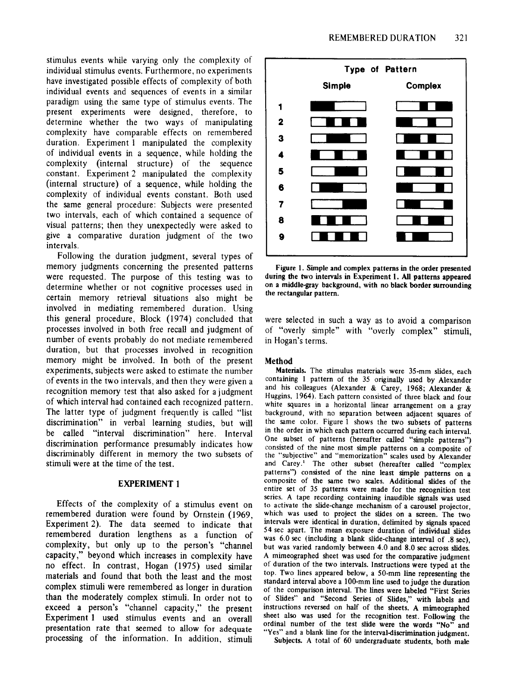stimulus events while varying only the complexity of individual stimulus events. Furthermore, no experiments have investigated possible effects of complexity of both individual events and sequences of events in a similar paradigm using the same type of stimulus events. The present experiments were designed, therefore, to determine whether the two ways of manipulating complexity have comparable effects on remembered duration. Experiment I manipulated the complexity of individual events in a sequence, while holding the complexity (internal structure) of the sequence constant. Experiment 2 manipulated the complexity (internal structure) of a sequence, while holding the complexity of individual events constant. Both used the same general procedure: Subjects were presented two intervals, each of which contained a sequence of visual patterns; then they unexpectedly were asked to give a comparative duration judgment of the two intervals.

Following the duration judgment, several types of memory judgments concerning the presented patterns were requested. The purpose of this testing was to determine whether or not cognitive processes used in certain memory retrieval situations also might be involved in mediating remembered duration. Using this general procedure, Block (1974) concluded that processes involved in both free recall and judgment of number of events probably do not mediate remembered duration, but that processes involved in recognition memory might be involved. In both of the present experiments, subjects were asked to estimate the number of events in the two intervals, and then they were given a recognition memory test that also asked for a judgment of which interval had contained each recognized pattern. The latter type of judgment frequently is called "list discrimination" in verbal learning studies, but will be called "interval discrimination" here. Interval discrimination performance presumably indicates how discriminably different in memory the two subsets of stimuli were at the time of the test.

## EXPERIMENT 1

Effects of the complexity of a stimulus event on remembered duration were found by Ornstein (1969, Experiment 2). The data seemed to indicate that remembered duration lengthens as a function of complexity, but only up to the person's "channel capacity," beyond which increases in complexity have no effect. In contrast, Hogan (1975) used similar materials and found that both the least and the most complex stimuli were remembered as longer in duration than the moderately complex stimuli. In order not to exceed a person's "channel capacity," the present Experiment I used stimulus events and an overall presentation rate that seemed to allow for adequate processing of the information. In addition, stimuli



Figure 1. Simple and complex patterns in the order presented during the two intervals in Experiment 1. All patterns appeared on a middle-gray background, with no black border surrounding the rectangular pattern.

were selected in such a way as to avoid a comparison of "overly simple" with "overly complex" stimuli, in Hogan's terms.

## Method

Materials. The stimulus materials were 35-mm slides, each containing 1 pattern of the 35 originally used by Alexander and his colleagues (Alexander & Carey, 1968; Alexander & Huggins, 1964). Each pattern consisted of three black and four white squares in a horizontal linear arrangement on a gray background, with no separation between adjacent squares of the same color. Figure 1 shows the two subsets of patterns in the order in which each pattern occurred during each interval. One subset of patterns (hereafter called "simple patterns") consisted of the nine most simple patterns on a composite of the "subjective" and "memorization" scales used by Alexander and Carey.' The other subset (hereafter called "complex patterns") consisted of the nine least simple patterns on a composite of the same two scales. Additional slides of the entire set of 35 patterns were made for the recognition test series. A tape recording containing inaudible signals was used to activate the slide-change mechanism of a carousel projector, which was used to project the slides on a screen. The two intervals were identical in duration, delimited by signals spaced 54 sec apart. The mean exposure duration of individual slides was 6.0 sec (including a blank slide-change interval of .8 sec), but was varied randomly between 4.0 and 8.0 sec across slides. A mimeographed sheet was used for the comparative judgment of duration of the two intervals. Instructions were typed at the top. Two lines appeared below, a 50-mm line representing the standard interval above a 100-mm line used to judge the duration of the comparison interval. The lines were labeled "First Series of Slides" and "Second Series of Slides," with labels and instructions reversed on half of the sheets. A mimeographed sheet also was used for the recognition test. Following the ordinal number of the test slide were the words "No" and "Yes" and a blank line for the interval-discrimination judgment.

SUbjects. A total of 60 undergraduate students, both male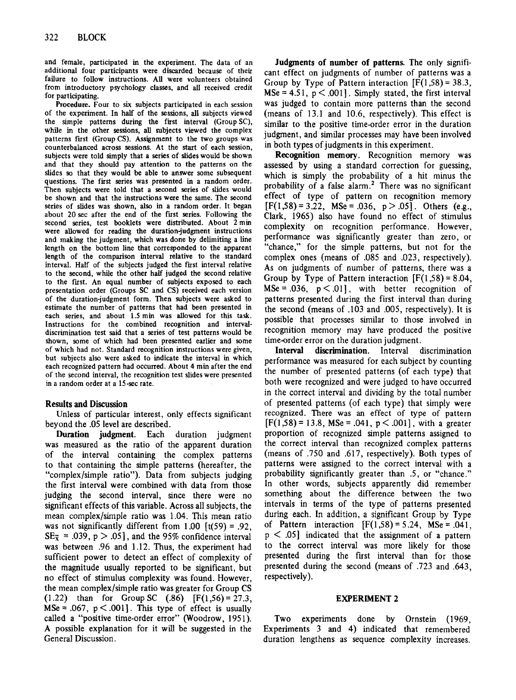and female, participated in the experiment. The data of an additional four participants were discarded because of their failure to follow instructions. All were volunteers obtained from introductory psychology classes, and all received credit for participating.

Procedure. Four to six subjects participated in each session of the experiment. In half of the sessions, all subjects viewed the simple patterns during the first interval (Group SC), while in the other sessions, all subjects viewed the complex patterns first (Group CS). Assignment to the two groups was counterbalanced across sessions. At the start of each session, subjects were told simply that a series of slides would be shown and that they should pay attention to the patterns on the slides so that they would be able to answer some subsequent questions. The first series was presented in a random order. Then subjects were told that a second series of slides would be shown and that the instructions were the same. The second series of slides was shown, also in a random order. It began about 20 sec after the end of the first series. Following the second series, test booklets were distributed. About  $\tilde{2}$  min were allowed for reading the duration-judgment instructions and making the judgment, which was done by delimiting a line length on the bottom line that corresponded to the apparent length of the comparison interval relative to the standard interval. Half of the subjects judged the first interval relative to the second, while the other half judged the second relative to the first. An equal number of subjects exposed to each presentation order (Groups SC and CS) received each version of the duration-judgment form. Then subjects were asked to estimate the number of patterns that had been presented in each series, and about 1.5 min was allowed for this task. Instructions for the combined recognition and intervaldiscrimination test said that a series of test patterns would be shown, some of which had been presented earlier and some of which had not. Standard recognition instructions were given, but subjects also were asked to indicate the interval in which each recognized pattern had occurred. About 4 min after the end of the second interval, the recognition test slides were presented in a random order at a 15-sec rate.

# Results and Discussion

Unless of particular interest, only effects significant beyond the .05 level are described.

Duration judgment. Each duration judgment was measured as the ratio of the apparent duration of the interval containing the complex patterns to that containing the simple patterns (hereafter, the "complex/simple ratio"). Data from subjects judging the first interval were combined with data from those judging the second interval, since there were no significant effects of this variable. Across all subjects, the mean complex/simple ratio was 1.04. This mean ratio was not significantly different from 1.00  $[t(59) = .92]$ ,  $SE_{\overline{x}} = .039$ ,  $p > .05$ , and the 95% confidence interval was between .96 and 1.12. Thus, the experiment had sufficient power to detect an effect of complexity of the magnitude usually reported to be significant, but no effect of stimulus complexity was found. However, the mean complex/simple ratio was greater for Group CS (1.22) than for Group SC  $(.86)$  [F(1,56) = 27.3, MSe = .067,  $p < .001$ . This type of effect is usually called a "positive time-order error" (Woodrow, 1951). A possible explanation for it will be suggested in the General Discussion.

Judgments of number of patterns. The only significant effect on judgments of number of patterns was a Group by Type of Pattern interaction  $[F(1,58) = 38.3,$ MSe = 4.51,  $p < .001$ . Simply stated, the first interval was judged to contain more patterns than the second (means of 13.1 and 10.6, respectively). This effect is similar to the positive time-order error in the duration judgment, and similar processes may have been involved in both types of judgments in this experiment.

Recognition memory. Recognition memory was assessed by using a standard correction for guessing, which is simply the probability of a hit minus the probability of a false alarm.<sup>2</sup> There was no significant effect of type of pattern on recognition memory  $[F(1,58) = 3.22, \text{ MSe} = .036, \text{ p} > .05].$  Others (e.g., Clark, 1965) also have found no effect of stimulus complexity on recognition performance. However, performance was significantly greater than zero, or "chance," for the simple patterns, but not for the complex ones (means of .085 and .023, respectively). As on judgments of number of patterns, there was a Group by Type of Pattern interaction  $[F(1,58) = 8.04,$  $MSe = .036$ ,  $p < .01$ , with better recognition of patterns presented during the first interval than during the second (means of .103 and .005, respectively). It is possible that processes similar to those involved in recognition memory may have produced the positive time-order error on the duration judgment.

Interval discrimination. Interval discrimination performance was measured for each subject by counting the number of presented patterns (of each type) that both were recognized and were judged to have occurred in the correct interval and dividing by the total number of presented patterns (of each type) that simply were recognized. There was an effect of type of pattern  $[F(1,58) = 13.8, \text{MSe} = .041, p < .001]$ , with a greater proportion of recognized simple patterns assigned to the correct interval than recognized complex patterns (means of .750 and .617, respectively). Both types of patterns were assigned to the correct interval with a probability significantly greater than .5, or "chance." In other words, subjects apparently did remember something about the difference between the two intervals in terms of the type of patterns presented during each. In addition, a significant Group by Type of Pattern interaction  $[F(1,58) = 5.24, MSe = .041,$  $p < .05$ ] indicated that the assignment of a pattern to the correct interval was more likely for those presented during the first interval than for those presented during the second (means of .723 and .643, respectively).

## EXPERIMENT 2

Two experiments done by Ornstein (1969, Experiments 3 and 4) indicated that remembered duration lengthens as sequence complexity increases.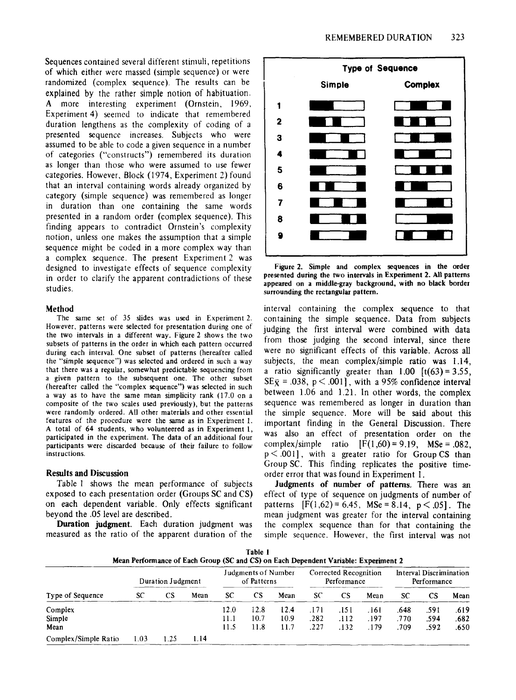Sequences contained several different stimuli, repetitions of which either were massed (simple sequence) or were randomized (complex sequence). The results can be explained by the rather simple notion of habituation. A more interesting experiment (Ornstein, 1969, Experiment 4) seemed to indicate that remembered duration lengthens as the complexity of coding of a presented sequence increases. Subjects who were assumed to be able to code a given sequence in a number of categories ("constructs") remembered its duration as longer than those who were assumed to use fewer categories. However, Block (1974, Experiment 2) found that an interval containing words already organized by category (simple sequence) was remembered as longer in duration than one containing the same words presented in a random order (complex sequence). This finding appears to contradict Ornstein's complexity notion, unless one makes the assumption that a simple sequence might be coded in a more complex way than a complex sequence. The present Experiment 2 was designed to investigate effects of sequence complexity in order to clarify the apparent contradictions of these studies.

#### Method

The same set of 35 slides was used in Experiment 2. However, patterns were selected for presentation during one of the two intervals in a different way. Figure 2 shows the two subsets of patterns in the order in which each pattern occurred during each interval. One subset of patterns (hereafter called the "simple sequence") was selected and ordered in such a way that there was a regular, somewhat predictable sequencing from a given pattern to the subsequent one. The other subset (hereafter called the "complex sequence") was selected in such a way as to have the same mean simplicity rank (17.0 on a composite of the two scales used previously), but the patterns were randomly ordered. All other materials and other essential features of the procedure were the same as in Experiment 1. A total of 64 students, who volunteered as in Experiment 1, participated in the experiment. The data of an additional four participants were discarded because of their failure to follow instructions.

#### Results and Discussion

Table 1 shows the mean performance of subjects exposed to each presentation order (Groups SC and CS) on each dependent variable. Only effects significant beyond the .05 level are described.

Duration judgment. Each duration judgment was measured as the ratio of the apparent duration of the





interval containing the complex sequence to that containing the simple sequence. Data from subjects judging the first interval were combined with data from those judging the second interval, since there were no significant effects of this variable. Across all subjects, the mean complex/simple ratio was 1.14, a ratio significantly greater than  $1.00$  [t(63) = 3.55,  $SE\bar{x} = .038$ ,  $p < .001$ , with a 95% confidence interval between 1.06 and 1.21. In other words, the complex sequence was remembered as longer in duration than the simple sequence. More will be said about this important finding in the General Discussion. There was also an effect of presentation order on the complex/simple ratio  $[F(1,60) = 9.19, \text{MSe} = .082,$  $p < .001$ ], with a greater ratio for Group CS than Group SC. This finding replicates the positive timeorder error that was found in Experiment 1.

Judgments of number of patterns. There was an effect of type of sequence on judgments of number of patterns  $[F(1,62) = 6.45, MSe = 8.14, p < .05]$ . The mean judgment was greater for the interval containing the complex sequence than for that containing the simple sequence. However, the first interval was not

| Table 1<br>Mean Performance of Each Group (SC and CS) on Each Dependent Variable: Experiment 2 |                   |      |      |                                    |                      |                      |                                      |                      |                         |                                        |                      |                      |
|------------------------------------------------------------------------------------------------|-------------------|------|------|------------------------------------|----------------------|----------------------|--------------------------------------|----------------------|-------------------------|----------------------------------------|----------------------|----------------------|
| Type of Sequence                                                                               | Duration Judgment |      |      | Judgments of Number<br>of Patterns |                      |                      | Corrected Recognition<br>Performance |                      |                         | Interval Discrimination<br>Performance |                      |                      |
|                                                                                                | SC                | CS   | Mean | <b>SC</b>                          | CS                   | Mean                 | SC                                   | <b>CS</b>            | Mean                    | SC                                     | <b>CS</b>            | Mean                 |
| Complex<br>Simple<br>Mean                                                                      |                   |      |      | 12.0<br>11.1<br>11.5               | 12.8<br>10.7<br>11.8 | 12.4<br>10.9<br>11.7 | .171<br>.282<br>.227                 | .151<br>.112<br>.132 | . 16 1<br>. 197<br>.179 | .648<br>.770<br>.709                   | .591<br>.594<br>.592 | .619<br>.682<br>.650 |
| Complex/Simple Ratio                                                                           | 1.03              | 1.25 | 1.14 |                                    |                      |                      |                                      |                      |                         |                                        |                      |                      |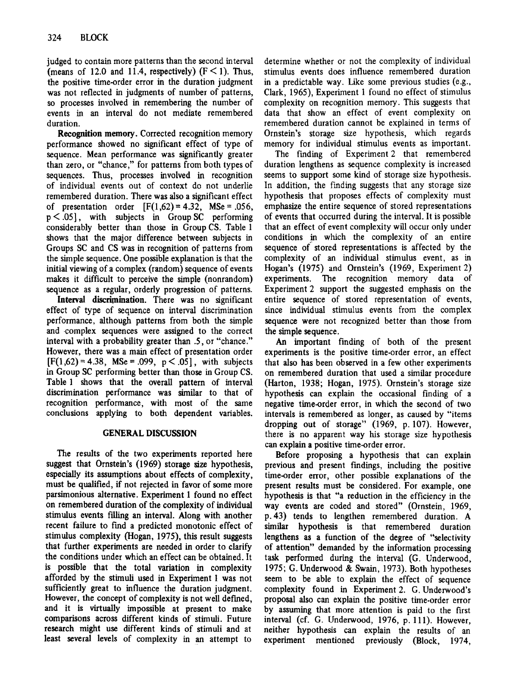judged to contain more patterns than the second interval (means of 12.0 and 11.4, respectively)  $(F \le 1)$ . Thus, the positive time-order error in the duration judgment was not reflected in judgments of number of patterns, so processes involved in remembering the number of events in an interval do not mediate remembered duration.

Recognition memory. Corrected recognition memory performance showed no significant effect of type of sequence. Mean performance was significantly greater than zero, or "chance," for patterns from both types of sequences. Thus, processes involved in recognition of individual events out of context do not underlie remembered duration. There was also a significant effect of presentation order  $[F(1,62) = 4.32, \text{MSe} = .056,$  $p < .05$ , with subjects in Group SC performing considerably better than those in Group CS. Table 1 shows that the major difference between subjects in Groups SC and CS was in recognition of patterns from the simple sequence. One possible explanation is that the initial viewing of a complex (random) sequence of events makes it difficult to perceive the simple (nonrandom) sequence as a regular, orderly progression of patterns.

Interval discrimination. There was no significant effect of type of sequence on interval discrimination performance, although patterns from both the simple and -complex sequences were assigned to the correct interval with a probability greater than .5, or "chance." However, there was a main effect of presentation order  $[F(1,62) = 4.38, \text{ MSe} = .099, \text{ p} < .05]$ , with subjects in Group SC performing better than those in Group CS. Table 1 shows that the overall pattern of interval discrimination performance was similar to that of recognition performance, with most of the same conclusions applying to both dependent variables.

# GENERAL DISCUSSION

The results of the two experiments reported here suggest that Ornstein's (1969) storage size hypothesis, especially its assumptions about effects of complexity, must be qualified, if not rejected in favor of some more parsimonious alternative. Experiment 1 found no effect on remembered duration of the complexity of individual stimulus events ftlling an interval. Along with another recent failure to find a predicted monotonic effect of stimulus complexity (Hogan, 1975), this result suggests that further experiments are needed in order to clarify the conditions under which an effect can be obtained. It is possible that the total variation in complexity afforded by the stimuli used in Experiment 1 was not sufficiently great to influence the duration judgment. However, the concept of complexity is not well defined, and it is virtually impossible at present to make comparisons across different kinds of stimuli. Future research might use different kinds of stimuli and at least several levels of complexity in an attempt to

determine whether or not the complexity of individual stimulus events does influence remembered duration in a predictable way. Like some previous studies (e.g., Clark, 1965), Experiment 1 found no effect of stimulus complexity on recognition memory. This suggests that data that show an effect of event complexity on remembered duration cannot be explained in terms of Ornstein's storage size hypothesis, which regards memory for individual stimulus events as important.

The finding of Experiment 2 that remembered duration lengthens as sequence complexity is increased seems to support some kind of storage size hypothesis. In addition, the finding suggests that any storage size hypothesis that proposes effects of complexity must emphasize the entire sequence of stored representations of events that occurred during the interval. It is possible that an effect of event complexity will occur only under conditions in which the complexity of an entire sequence of stored representations is affected by the complexity of an individual stimulus event, as in Hogan's (1975) and Ornstein's (1969, Experiment 2) experiments. The recognition memory data of Experiment 2 support the suggested emphasis on the entire sequence of stored representation of events, since individual stimulus events from the complex sequence were not recognized better than those from the simple sequence.

An important finding of both of the present experiments is the positive time-order error, an effect that also has been observed in a few other experiments on remembered duration that used a similar procedure (Harton, 1938; Hogan, 1975). Ornstein's storage size hypothesis can explain the occasional finding of a negative time-order error, in which the second of two intervals is remembered as longer, as caused by "items dropping out of storage" (1969, p. 107). However, there is no apparent way his storage size hypothesis can explain a positive time-order error.

Before proposing a hypothesis that can explain previous and present fmdings, including the positive time-order error, other possible explanations of the present results must be considered. For example, one hypothesis is that "a reduction in the efficiency in the way events are coded and stored" (Ornstein, 1969, p. 43) tends to lengthen remembered duration. A similar hypothesis is that remembered duration lengthens as a function of the degree of "selectivity of attention" demanded by the information processing task performed during the interval (G. Underwood, 1975; G. Underwood & Swain, 1973). Both hypotheses seem to be able to explain the effect of sequence complexity found in Experiment 2. G. Underwood's proposal also can explain the positive time-order error by assuming that more attention is paid to the first interval (cf. G. Underwood, 1976, p. Ill). However, neither hypothesis can explain the results of an experiment mentioned previously (Block, 1974,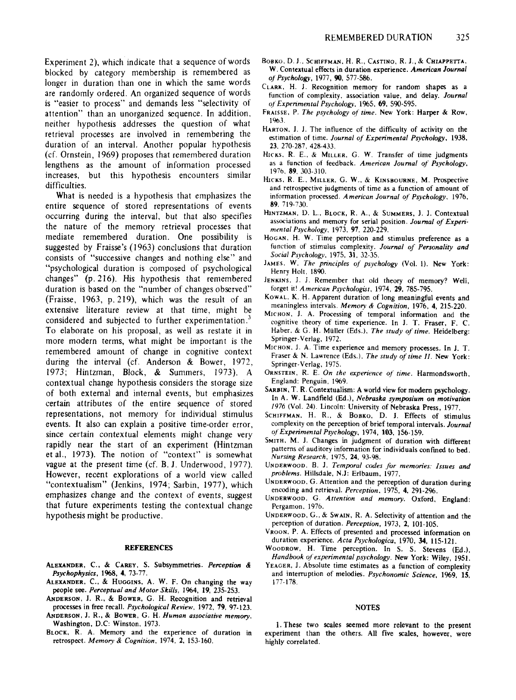Experiment 2), which indicate that a sequence of words blocked by category membership is remembered as longer in duration than one in which the same words are randomly ordered. An organized sequence of words is "easier to process" and demands less "selectivity of attention" than an unorganized sequence. In addition, neither hypothesis addresses the question of what retrieval processes are involved in remembering the duration of an interval. Another popular hypothesis (cf. Ornstein, 1969) proposes that remembered duration lengthens as the amount of information processed increases, but this hypothesis encounters similar difficulties.

What is needed is a hypothesis that emphasizes the entire sequence of stored representations of events occurring during the interval, but that also specifies the nature of the memory retrieval processes that mediate remembered duration. One possibility is suggested by Fraisse's (1963) conclusions that duration consists of "successive changes and nothing else" and "psychological duration is composed of psychological changes" (p.216). His hypothesis that remembered duration is based on the "number of changes observed" (Fraisse, 1963, p.219), which was the result of an extensive literature review at that time, might be considered and subjected to further experimentation. $3$ To elaborate on his proposal, as well as restate it in more modern terms, what might be important is the remembered amount of change in cognitive context during the interval (cf. Anderson & Bower, 1972, 1973; Hintzrnan, Block, & Summers, 1973). A contextual change hypothesis considers the storage size of both external and internal events, but emphasizes certain attributes of the entire sequence of stored representations, not memory for individual stimulus events. It also can explain a positive time-order error, since certain contextual elements might change very rapidly near the start of an experiment (Hintzman et al., 1973). The notion of "context" is somewhat vague at the present time (cf. B. J. Underwood, 1977). However, recent explorations of a world view called "contextualism" (Jenkins, 1974; Sarbin, 1977), which emphasizes change and the context of events, suggest that future experiments testing the contextual change hypothesis might be productive.

#### REFERENCES

- ALEXANDER, C.; & CAREY, S. Subsymmetries, *Perception* & *Psychophysics,* 1968, 4. 73-77.
- ALEXANDER, C., & HUGGINS, A. W. F. On changing the way people see. *Perceptual and Motor Skills,* 1964. 19, 235·253.
- ANDERSON, J. R., & BOWER, G. H. Recognition and retrieval processes in free recall. *Psychological Review,* 1972. 79.97·123.
- ANDERSON, J. R., & BOWER, G. H. *Human associative memory.* Washington. D.C: Winston, 1973.
- BLOCK. R. A. Memory and the experience of duration in retrospect. *Memory* & *Cognition,* 1974, 2. 153·160.
- BOBKO, D. J., SCHIFFMAN, H. R., CASTINO, R. J., & CHIAPPETTA, W. Contextual effects in duration experience. *American Journal of Psychology,* 1977.90,577·586.
- CLARK, H. 1. Recognition memory for random shapes as a function of complexity. association value, and delay. *Journal of Experimental Psychology,* 1965, 69. 590-595.
- FRAISSE, P. The psychology of time. New York: Harper & Row. 1%3.
- HARTON, 1. 1. The influence of the difficulty of activity on the estimation of time. *Journal of Experimental Psychology. 1938,* 23. 270-287,428-433.
- HICKS, R. E., & MILLER, G. W. Transfer of time judgments as a function of feedback. *American Journal of Psychology.* 1976. 89. 303-310.
- HICKS, R. E., MILLER, G. W., & KINSBOURNE, M. Prospective and retrospective judgments of time as a function of amount of information processed. *American Journal of"Psychology, 1976,* 89.719-730.
- HINTZMAN. D. L.. BLOCK, R. A.. & SUMMERS. J. J. Contextual associations and memory for serial position. *Journal of Experimental Psychology,* 1973, 97, 220-229.
- HOGAN, H. W. Time perception and stimulus preference as a function of stimulus complexity. *Journal of Personality and Social Psychology.* 1975. 31. 32-35.
- JAMES. W. *The principles of psychology* (Vol. 1). New York: Henry Holt, 1890.
- JENKINS, J. J. Remember that old theory of memory? Well, forget it' *American Psychologist,* 1974, 29.785-795.
- KOWAL. K. H. Apparent duration of long meaningful events and meaningless intervals. *Memory* & *Cognition,* 1976. 4, 215-220.
- MICHON, 1. A. Processing of temporal information and the cognitive theory of time experience. In J. T. Fraser. F. C. Haber. & G. H. MUller (Eds.), *The study of time.* Heidelberg: Springer-Verlag, 1972.
- MICHON. J. A. Time experience and memory processes. In J. T. Fraser & N. Lawrence (Eds.). *The study of time II.* New York: Springer-Verlag, 1975.
- ORNSTEIN. R. E. *On the experience of time.* Harmondsworth , England: Penguin, 1969.
- SARBIN, T. R. Contextualism: A world view for modern psychology. In A. W. Landfield (Ed.), *Nebraska symposium on motivation 1976* (Vol. 24). Lincoln: University of Nebraska Press. 1977.
- SCHIFFMAN. H. R., & BOBKO. D. J. Effects of stimulus complexity on the perception of brief temporal intervals. *Journal of" Experimental Psychology.* 1974, 103, 156-159.
- SMITH. M. J. Changes in judgment of duration with different patterns of auditory information for individuals confined to bed. *Nursing Research.* 1975. 24. 93-98.
- UNDERWOOD. B. J. *Temporal cades for memories: Issues and problems.* Hillsdale, N.J: Erlbaum, 1977.
- UNDERWOOD. G. Attention and the perception of duration during encoding and retrieval. *Perception.* 1975, 4. 291-296.
- UNDERWOOD. G. *Attention and memory.* Oxford, England: Pergamon, 1976.
- UNDERWOOD, G., & SWAIN, R. A. Selectivity of attention and the perception of duration. *Perception,* 1973. 2, 101-105.
- VROON. P. A. Effects of presented and processed information on duration experience. *Acta Psychologica,* 1970. 34. 115·121.
- WOODROW, H. Time perception. In S. S. Stevens (Ed.), *Handbook of experimental psychology.* New York: Wiley, 1951.
- YEAGER, J. Absolute time estimates as a function of complexity and interruption of melodies. *Psychonomic Science,* 1969. IS. 177-178.

#### NOTES

1. These two scales seemed more relevant to the present experiment than the others, All five scales, however, were highly correlated.